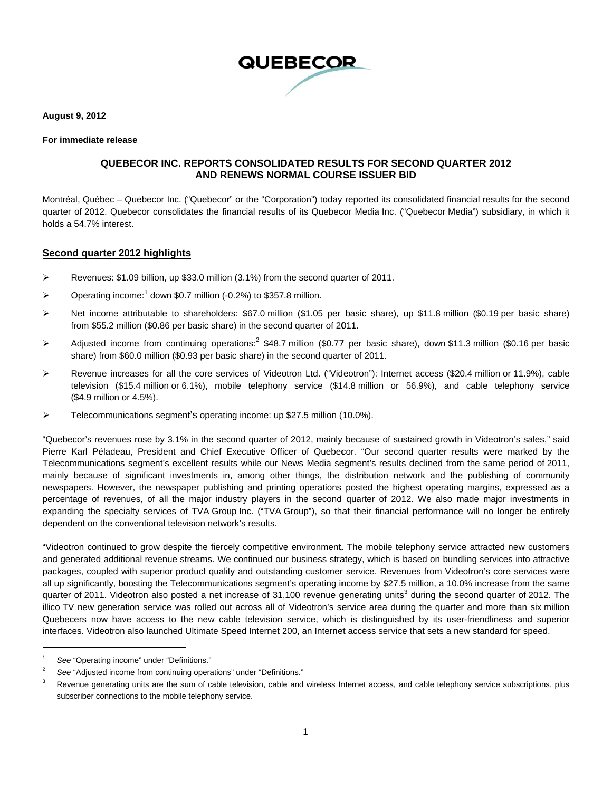

**Aug gust 9, 2012** 

#### **For r immediate re elease**

#### **QU UEBECOR IN C. REPORTS S CONSOLID DATED RESU ULTS FOR SE ECOND QUA ARTER 2012 AND RE ENEWS NOR RMAL COUR SE ISSUER B BID**

Montréal, Québec – Quebecor Inc. ("Quebecor" or the "Corporation") today reported its consolidated financial results for the second quarter of 2012. Quebecor consolidates the financial results of its Quebecor Media Inc. ("Quebecor Media") subsidiary, in which it holds a 54.7% interest.

#### **<u>Second quarter 2012 highlights</u>**

- $\blacktriangleright$ Revenues: \$1.09 billion, up \$33.0 million (3.1%) from the second quarter of 2011.
- ¾ Operating income:<sup>1</sup> down \$0.7 million (-0.2%) to \$357.8 million.
- ¾ Net income attributable to shareholders: \$67.0 million (\$1.05 per basic share), up \$11.8 million (\$0.19 per basic share) from \$55.2 million (\$0.86 per basic share) in the second quarter of 2011.
- $\triangleright$ Adjusted income from continuing operations:<sup>2</sup> \$48.7 million (\$0.77 per basic share), down \$11.3 million (\$0.16 per basic share) from \$60.0 million (\$0.93 per basic share) in the second quarter of 2011.
- ¾ Revenue increases for all the core services of Videotron Ltd. ("Videotron"): Internet access (\$20.4 million or 11.9%), cable television (\$15.4 million or 6.1%), mobile telephony service (\$14.8 million or 56.9%), and cable telephony service (\$4.9 millio n or 4.5%).
- $\blacktriangleright$ Telecommunications segment's operating income: up \$27.5 million (10.0%).

"Quebecor's revenues rose by 3.1% in the second quarter of 2012, mainly because of sustained growth in Videotron's sales," said Pierre Karl Péladeau, President and Chief Executive Officer of Quebecor. "Our second quarter results were marked by the Telecommunications segment's excellent results while our News Media segment's results declined from the same period of 2011, mainly because of significant investments in, among other things, the distribution network and the publishing of community newspapers. However, the newspaper publishing and printing operations posted the highest operating margins, expressed as a percentage of revenues, of all the major industry players in the second quarter of 2012. We also made major investments in expanding the specialty services of TVA Group Inc. ("TVA Group"), so that their financial performance will no longer be entirely dependent on the conventional television network's results.

"Videotron continued to grow despite the fiercely competitive environment. The mobile telephony service attracted new customers and generated additional revenue streams. We continued our business strategy, which is based on bundling services into attractive packages, coupled with superior product quality and outstanding customer service. Revenues from Videotron's core services were all up significantly, boosting the Telecommunications segment's operating income by \$27.5 million, a 10.0% increase from the same quarter of 2011. Videotron also posted a net increase of 31,100 revenue generating units<sup>3</sup> during the second quarter of 2012. The illico TV new generation service was rolled out across all of Videotron's service area during the quarter and more than six million Quebecers now have access to the new cable television service, which is distinguished by its user-friendliness and superior interfaces. Videotron also launched Ultimate Speed Internet 200, an Internet access service that sets a new standard for speed.

 $\overline{a}$ 

1

 $\overline{a}$ 

 $\overline{a}$ 

<sup>1</sup> See "Operating income" under "Definitions."

<sup>2</sup> See "Adjusted income from continuing operations" under "Definitions."

<sup>3</sup> subscriber connections to the mobile telephony service. Revenue generating units are the sum of cable television, cable and wireless Internet access, and cable telephony service subscriptions, plus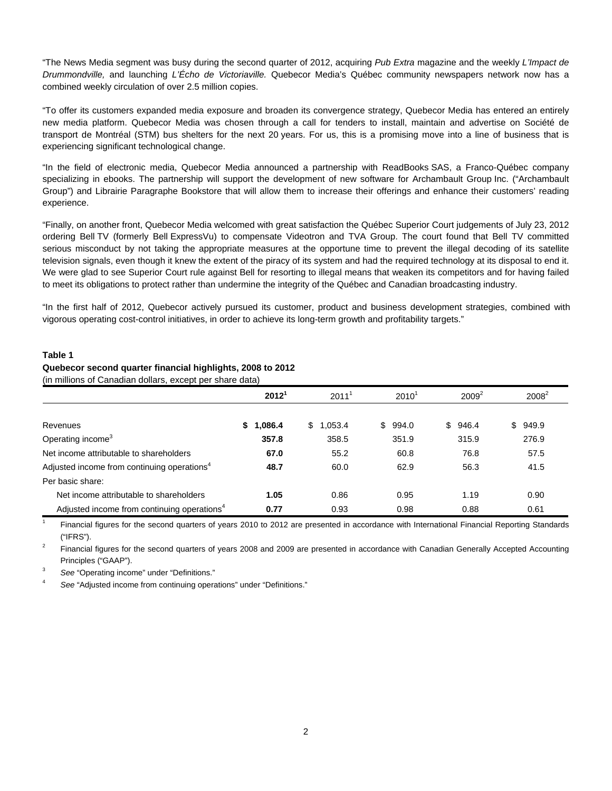"The News Media segment was busy during the second quarter of 2012, acquiring *Pub Extra* magazine and the weekly *L'Impact de Drummondville,* and launching *L'Écho de Victoriaville.* Quebecor Media's Québec community newspapers network now has a combined weekly circulation of over 2.5 million copies.

"To offer its customers expanded media exposure and broaden its convergence strategy, Quebecor Media has entered an entirely new media platform. Quebecor Media was chosen through a call for tenders to install, maintain and advertise on Société de transport de Montréal (STM) bus shelters for the next 20 years. For us, this is a promising move into a line of business that is experiencing significant technological change.

"In the field of electronic media, Quebecor Media announced a partnership with ReadBooks SAS, a Franco-Québec company specializing in ebooks. The partnership will support the development of new software for Archambault Group Inc. ("Archambault Group") and Librairie Paragraphe Bookstore that will allow them to increase their offerings and enhance their customers' reading experience.

"Finally, on another front, Quebecor Media welcomed with great satisfaction the Québec Superior Court judgements of July 23, 2012 ordering Bell TV (formerly Bell ExpressVu) to compensate Videotron and TVA Group. The court found that Bell TV committed serious misconduct by not taking the appropriate measures at the opportune time to prevent the illegal decoding of its satellite television signals, even though it knew the extent of the piracy of its system and had the required technology at its disposal to end it. We were glad to see Superior Court rule against Bell for resorting to illegal means that weaken its competitors and for having failed to meet its obligations to protect rather than undermine the integrity of the Québec and Canadian broadcasting industry.

"In the first half of 2012, Quebecor actively pursued its customer, product and business development strategies, combined with vigorous operating cost-control initiatives, in order to achieve its long-term growth and profitability targets."

#### **Table 1**

#### **Quebecor second quarter financial highlights, 2008 to 2012**

(in millions of Canadian dollars, except per share data)

|                                                         | 2012 <sup>1</sup> | 2011 <sup>1</sup> | $2010^{1}$   | $2009^2$ | $2008^2$    |
|---------------------------------------------------------|-------------------|-------------------|--------------|----------|-------------|
|                                                         |                   |                   |              |          |             |
| Revenues                                                | 1,086.4<br>S.     | 1,053.4<br>\$     | \$.<br>994.0 | \$946.4  | 949.9<br>\$ |
| Operating income <sup>3</sup>                           | 357.8             | 358.5             | 351.9        | 315.9    | 276.9       |
| Net income attributable to shareholders                 | 67.0              | 55.2              | 60.8         | 76.8     | 57.5        |
| Adjusted income from continuing operations <sup>4</sup> | 48.7              | 60.0              | 62.9         | 56.3     | 41.5        |
| Per basic share:                                        |                   |                   |              |          |             |
| Net income attributable to shareholders                 | 1.05              | 0.86              | 0.95         | 1.19     | 0.90        |
| Adjusted income from continuing operations <sup>4</sup> | 0.77              | 0.93              | 0.98         | 0.88     | 0.61        |

1 Financial figures for the second quarters of years 2010 to 2012 are presented in accordance with International Financial Reporting Standards  $("IFRS").$ <sup>2</sup> Financial

Financial figures for the second quarters of years 2008 and 2009 are presented in accordance with Canadian Generally Accepted Accounting

Principles ("GAAP"). 3 *See* "Operating income" under "Definitions."

<sup>4</sup> *See* "Adjusted income from continuing operations" under "Definitions."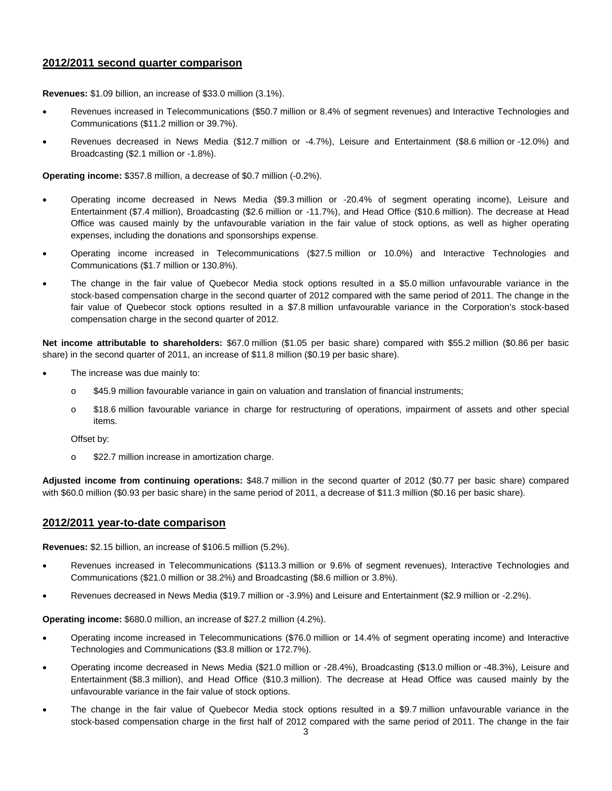#### **2012/2011 second quarter comparison**

**Revenues:** \$1.09 billion, an increase of \$33.0 million (3.1%).

- Revenues increased in Telecommunications (\$50.7 million or 8.4% of segment revenues) and Interactive Technologies and Communications (\$11.2 million or 39.7%).
- Revenues decreased in News Media (\$12.7 million or -4.7%), Leisure and Entertainment (\$8.6 million or -12.0%) and Broadcasting (\$2.1 million or -1.8%).

**Operating income:** \$357.8 million, a decrease of \$0.7 million (-0.2%).

- Operating income decreased in News Media (\$9.3 million or -20.4% of segment operating income), Leisure and Entertainment (\$7.4 million), Broadcasting (\$2.6 million or -11.7%), and Head Office (\$10.6 million). The decrease at Head Office was caused mainly by the unfavourable variation in the fair value of stock options, as well as higher operating expenses, including the donations and sponsorships expense.
- Operating income increased in Telecommunications (\$27.5 million or 10.0%) and Interactive Technologies and Communications (\$1.7 million or 130.8%).
- The change in the fair value of Quebecor Media stock options resulted in a \$5.0 million unfavourable variance in the stock-based compensation charge in the second quarter of 2012 compared with the same period of 2011. The change in the fair value of Quebecor stock options resulted in a \$7.8 million unfavourable variance in the Corporation's stock-based compensation charge in the second quarter of 2012.

**Net income attributable to shareholders:** \$67.0 million (\$1.05 per basic share) compared with \$55.2 million (\$0.86 per basic share) in the second quarter of 2011, an increase of \$11.8 million (\$0.19 per basic share).

- The increase was due mainly to:
	- o \$45.9 million favourable variance in gain on valuation and translation of financial instruments;
	- o \$18.6 million favourable variance in charge for restructuring of operations, impairment of assets and other special items.

Offset by:

o \$22.7 million increase in amortization charge.

**Adjusted income from continuing operations:** \$48.7 million in the second quarter of 2012 (\$0.77 per basic share) compared with \$60.0 million (\$0.93 per basic share) in the same period of 2011, a decrease of \$11.3 million (\$0.16 per basic share).

#### **2012/2011 year-to-date comparison**

**Revenues:** \$2.15 billion, an increase of \$106.5 million (5.2%).

- Revenues increased in Telecommunications (\$113.3 million or 9.6% of segment revenues), Interactive Technologies and Communications (\$21.0 million or 38.2%) and Broadcasting (\$8.6 million or 3.8%).
- Revenues decreased in News Media (\$19.7 million or -3.9%) and Leisure and Entertainment (\$2.9 million or -2.2%).

**Operating income:** \$680.0 million, an increase of \$27.2 million (4.2%).

- Operating income increased in Telecommunications (\$76.0 million or 14.4% of segment operating income) and Interactive Technologies and Communications (\$3.8 million or 172.7%).
- Operating income decreased in News Media (\$21.0 million or -28.4%), Broadcasting (\$13.0 million or -48.3%), Leisure and Entertainment (\$8.3 million), and Head Office (\$10.3 million). The decrease at Head Office was caused mainly by the unfavourable variance in the fair value of stock options.
- The change in the fair value of Quebecor Media stock options resulted in a \$9.7 million unfavourable variance in the stock-based compensation charge in the first half of 2012 compared with the same period of 2011. The change in the fair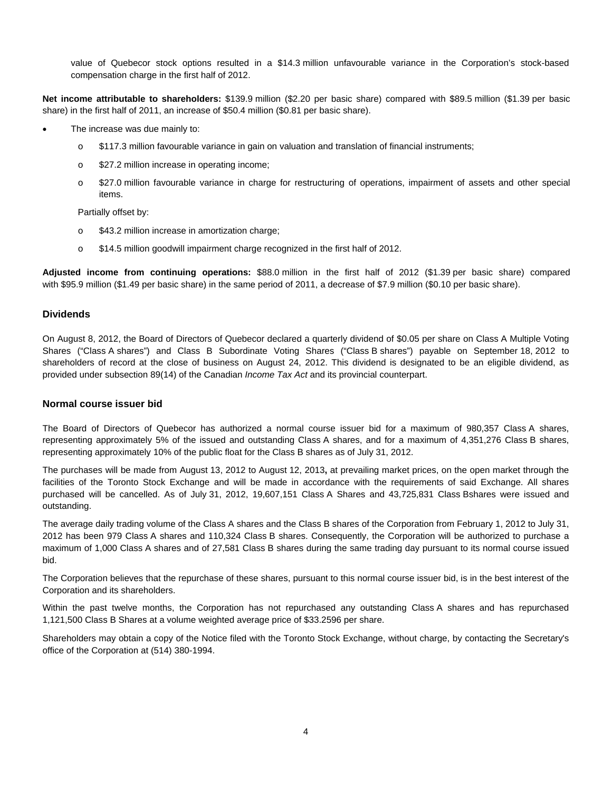value of Quebecor stock options resulted in a \$14.3 million unfavourable variance in the Corporation's stock-based compensation charge in the first half of 2012.

**Net income attributable to shareholders:** \$139.9 million (\$2.20 per basic share) compared with \$89.5 million (\$1.39 per basic share) in the first half of 2011, an increase of \$50.4 million (\$0.81 per basic share).

- The increase was due mainly to:
	- o \$117.3 million favourable variance in gain on valuation and translation of financial instruments;
	- o \$27.2 million increase in operating income;
	- o \$27.0 million favourable variance in charge for restructuring of operations, impairment of assets and other special items.

Partially offset by:

- o \$43.2 million increase in amortization charge;
- o \$14.5 million goodwill impairment charge recognized in the first half of 2012.

**Adjusted income from continuing operations:** \$88.0 million in the first half of 2012 (\$1.39 per basic share) compared with \$95.9 million (\$1.49 per basic share) in the same period of 2011, a decrease of \$7.9 million (\$0.10 per basic share).

#### **Dividends**

On August 8, 2012, the Board of Directors of Quebecor declared a quarterly dividend of \$0.05 per share on Class A Multiple Voting Shares ("Class A shares") and Class B Subordinate Voting Shares ("Class B shares") payable on September 18, 2012 to shareholders of record at the close of business on August 24, 2012. This dividend is designated to be an eligible dividend, as provided under subsection 89(14) of the Canadian *Income Tax Act* and its provincial counterpart.

#### **Normal course issuer bid**

The Board of Directors of Quebecor has authorized a normal course issuer bid for a maximum of 980,357 Class A shares, representing approximately 5% of the issued and outstanding Class A shares, and for a maximum of 4,351,276 Class B shares, representing approximately 10% of the public float for the Class B shares as of July 31, 2012.

The purchases will be made from August 13, 2012 to August 12, 2013**,** at prevailing market prices, on the open market through the facilities of the Toronto Stock Exchange and will be made in accordance with the requirements of said Exchange. All shares purchased will be cancelled. As of July 31, 2012, 19,607,151 Class A Shares and 43,725,831 Class Bshares were issued and outstanding.

The average daily trading volume of the Class A shares and the Class B shares of the Corporation from February 1, 2012 to July 31, 2012 has been 979 Class A shares and 110,324 Class B shares. Consequently, the Corporation will be authorized to purchase a maximum of 1,000 Class A shares and of 27,581 Class B shares during the same trading day pursuant to its normal course issued bid.

The Corporation believes that the repurchase of these shares, pursuant to this normal course issuer bid, is in the best interest of the Corporation and its shareholders.

Within the past twelve months, the Corporation has not repurchased any outstanding Class A shares and has repurchased 1,121,500 Class B Shares at a volume weighted average price of \$33.2596 per share.

Shareholders may obtain a copy of the Notice filed with the Toronto Stock Exchange, without charge, by contacting the Secretary's office of the Corporation at (514) 380-1994.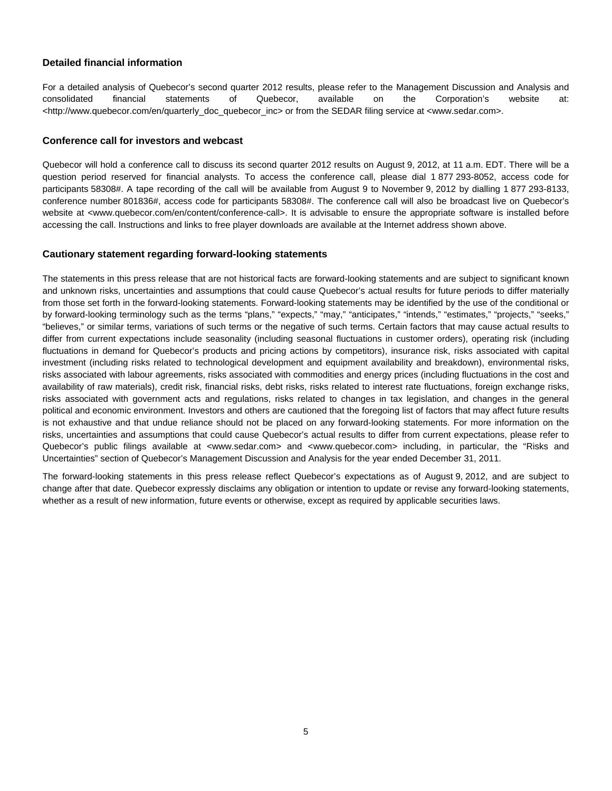#### **Detailed financial information**

For a detailed analysis of Quebecor's second quarter 2012 results, please refer to the Management Discussion and Analysis and consolidated financial statements of Quebecor, available on the Corporation's website at: <http://www.quebecor.com/en/quarterly\_doc\_quebecor\_inc> or from the SEDAR filing service at <www.sedar.com>.

#### **Conference call for investors and webcast**

Quebecor will hold a conference call to discuss its second quarter 2012 results on August 9, 2012, at 11 a.m. EDT. There will be a question period reserved for financial analysts. To access the conference call, please dial 1 877 293-8052, access code for participants 58308#. A tape recording of the call will be available from August 9 to November 9, 2012 by dialling 1 877 293-8133, conference number 801836#, access code for participants 58308#. The conference call will also be broadcast live on Quebecor's website at <www.quebecor.com/en/content/conference-call>. It is advisable to ensure the appropriate software is installed before accessing the call. Instructions and links to free player downloads are available at the Internet address shown above.

#### **Cautionary statement regarding forward-looking statements**

The statements in this press release that are not historical facts are forward-looking statements and are subject to significant known and unknown risks, uncertainties and assumptions that could cause Quebecor's actual results for future periods to differ materially from those set forth in the forward-looking statements. Forward-looking statements may be identified by the use of the conditional or by forward-looking terminology such as the terms "plans," "expects," "may," "anticipates," "intends," "estimates," "projects," "seeks," "believes," or similar terms, variations of such terms or the negative of such terms. Certain factors that may cause actual results to differ from current expectations include seasonality (including seasonal fluctuations in customer orders), operating risk (including fluctuations in demand for Quebecor's products and pricing actions by competitors), insurance risk, risks associated with capital investment (including risks related to technological development and equipment availability and breakdown), environmental risks, risks associated with labour agreements, risks associated with commodities and energy prices (including fluctuations in the cost and availability of raw materials), credit risk, financial risks, debt risks, risks related to interest rate fluctuations, foreign exchange risks, risks associated with government acts and regulations, risks related to changes in tax legislation, and changes in the general political and economic environment. Investors and others are cautioned that the foregoing list of factors that may affect future results is not exhaustive and that undue reliance should not be placed on any forward-looking statements. For more information on the risks, uncertainties and assumptions that could cause Quebecor's actual results to differ from current expectations, please refer to Quebecor's public filings available at <www.sedar.com> and <www.quebecor.com> including, in particular, the "Risks and Uncertainties" section of Quebecor's Management Discussion and Analysis for the year ended December 31, 2011.

The forward-looking statements in this press release reflect Quebecor's expectations as of August 9, 2012, and are subject to change after that date. Quebecor expressly disclaims any obligation or intention to update or revise any forward-looking statements, whether as a result of new information, future events or otherwise, except as required by applicable securities laws.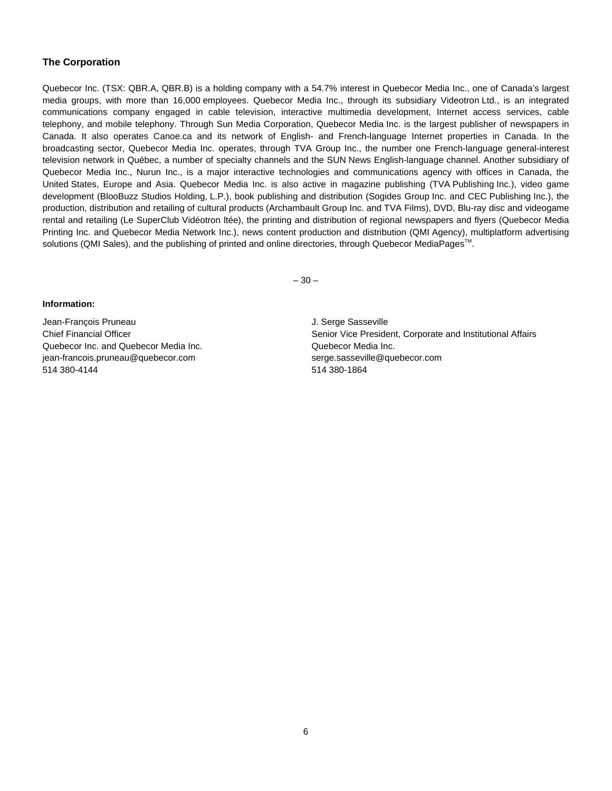#### **The Corporation**

Quebecor Inc. (TSX: QBR.A, QBR.B) is a holding company with a 54.7% interest in Quebecor Media Inc., one of Canada's largest media groups, with more than 16,000 employees. Quebecor Media Inc., through its subsidiary Videotron Ltd., is an integrated communications company engaged in cable television, interactive multimedia development, Internet access services, cable telephony, and mobile telephony. Through Sun Media Corporation, Quebecor Media Inc. is the largest publisher of newspapers in Canada. It also operates Canoe.ca and its network of English- and French-language Internet properties in Canada. In the broadcasting sector, Quebecor Media Inc. operates, through TVA Group Inc., the number one French-language general-interest television network in Québec, a number of specialty channels and the SUN News English-language channel. Another subsidiary of Quebecor Media Inc., Nurun Inc., is a major interactive technologies and communications agency with offices in Canada, the United States, Europe and Asia. Quebecor Media Inc. is also active in magazine publishing (TVA Publishing Inc.), video game development (BlooBuzz Studios Holding, L.P.), book publishing and distribution (Sogides Group Inc. and CEC Publishing Inc.), the production, distribution and retailing of cultural products (Archambault Group Inc. and TVA Films), DVD, Blu-ray disc and videogame rental and retailing (Le SuperClub Vidéotron ltée), the printing and distribution of regional newspapers and flyers (Quebecor Media Printing Inc. and Quebecor Media Network Inc.), news content production and distribution (QMI Agency), multiplatform advertising solutions (QMI Sales), and the publishing of printed and online directories, through Quebecor MediaPages<sup>™.</sup>

 $-30-$ 

#### **Information:**

Jean-François Pruneau J. Serge Sasseville Quebecor Inc. and Quebecor Media Inc. Quebecor Media Inc. jean-francois.pruneau@quebecor.com serge.sasseville@quebecor.com 514 380-4144 514 380-1864

Chief Financial Officer Senior Vice President, Corporate and Institutional Affairs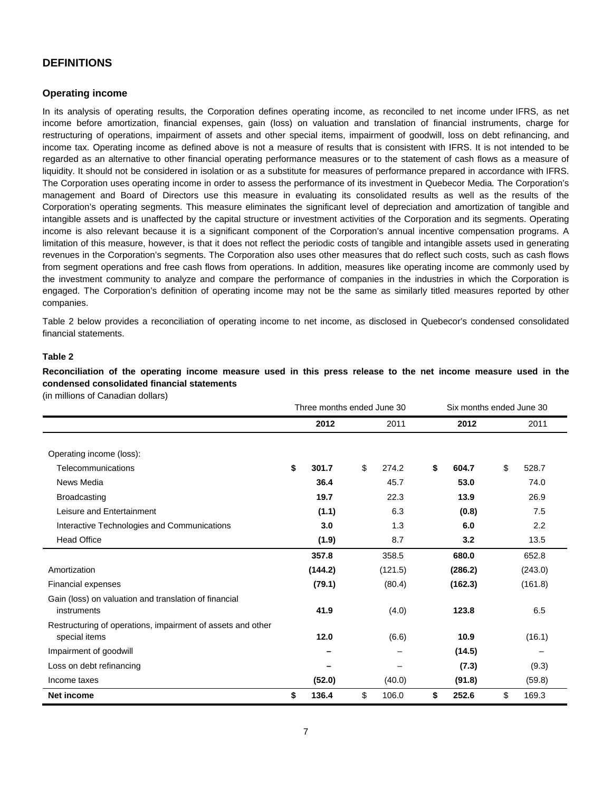#### **DEFINITIONS**

#### **Operating income**

In its analysis of operating results, the Corporation defines operating income, as reconciled to net income under IFRS, as net income before amortization, financial expenses, gain (loss) on valuation and translation of financial instruments, charge for restructuring of operations, impairment of assets and other special items, impairment of goodwill, loss on debt refinancing, and income tax. Operating income as defined above is not a measure of results that is consistent with IFRS. It is not intended to be regarded as an alternative to other financial operating performance measures or to the statement of cash flows as a measure of liquidity. It should not be considered in isolation or as a substitute for measures of performance prepared in accordance with IFRS. The Corporation uses operating income in order to assess the performance of its investment in Quebecor Media*.* The Corporation's management and Board of Directors use this measure in evaluating its consolidated results as well as the results of the Corporation's operating segments. This measure eliminates the significant level of depreciation and amortization of tangible and intangible assets and is unaffected by the capital structure or investment activities of the Corporation and its segments. Operating income is also relevant because it is a significant component of the Corporation's annual incentive compensation programs. A limitation of this measure, however, is that it does not reflect the periodic costs of tangible and intangible assets used in generating revenues in the Corporation's segments. The Corporation also uses other measures that do reflect such costs, such as cash flows from segment operations and free cash flows from operations. In addition, measures like operating income are commonly used by the investment community to analyze and compare the performance of companies in the industries in which the Corporation is engaged. The Corporation's definition of operating income may not be the same as similarly titled measures reported by other companies.

Table 2 below provides a reconciliation of operating income to net income, as disclosed in Quebecor's condensed consolidated financial statements.

#### **Table 2**

**Reconciliation of the operating income measure used in this press release to the net income measure used in the condensed consolidated financial statements** 

(in millions of Canadian dollars)

|                                                             | Three months ended June 30 |         |      |                          |    | Six months ended June 30 |    |         |  |  |
|-------------------------------------------------------------|----------------------------|---------|------|--------------------------|----|--------------------------|----|---------|--|--|
|                                                             |                            | 2012    | 2011 |                          |    | 2012                     |    | 2011    |  |  |
|                                                             |                            |         |      |                          |    |                          |    |         |  |  |
| Operating income (loss):                                    |                            |         |      |                          |    |                          |    |         |  |  |
| Telecommunications                                          | \$                         | 301.7   | \$   | 274.2                    | \$ | 604.7                    | \$ | 528.7   |  |  |
| News Media                                                  |                            | 36.4    |      | 45.7                     |    | 53.0                     |    | 74.0    |  |  |
| <b>Broadcasting</b>                                         |                            | 19.7    |      | 22.3                     |    | 13.9                     |    | 26.9    |  |  |
| Leisure and Entertainment                                   |                            | (1.1)   |      | 6.3                      |    | (0.8)                    |    | 7.5     |  |  |
| Interactive Technologies and Communications                 |                            | 3.0     |      | 1.3                      |    | 6.0                      |    | 2.2     |  |  |
| <b>Head Office</b>                                          |                            | (1.9)   |      | 8.7                      |    | 3.2                      |    | 13.5    |  |  |
|                                                             |                            | 357.8   |      | 358.5                    |    | 680.0                    |    | 652.8   |  |  |
| Amortization                                                |                            | (144.2) |      | (121.5)                  |    | (286.2)                  |    | (243.0) |  |  |
| <b>Financial expenses</b>                                   |                            | (79.1)  |      | (80.4)                   |    | (162.3)                  |    | (161.8) |  |  |
| Gain (loss) on valuation and translation of financial       |                            |         |      |                          |    |                          |    |         |  |  |
| instruments                                                 |                            | 41.9    |      | (4.0)                    |    | 123.8                    |    | 6.5     |  |  |
| Restructuring of operations, impairment of assets and other |                            |         |      |                          |    |                          |    |         |  |  |
| special items                                               |                            | 12.0    |      | (6.6)                    |    | 10.9                     |    | (16.1)  |  |  |
| Impairment of goodwill                                      |                            |         |      |                          |    | (14.5)                   |    |         |  |  |
| Loss on debt refinancing                                    |                            |         |      | $\overline{\phantom{0}}$ |    | (7.3)                    |    | (9.3)   |  |  |
| Income taxes                                                |                            | (52.0)  |      | (40.0)                   |    | (91.8)                   |    | (59.8)  |  |  |
| <b>Net income</b>                                           | \$                         | 136.4   | \$   | 106.0                    | \$ | 252.6                    | \$ | 169.3   |  |  |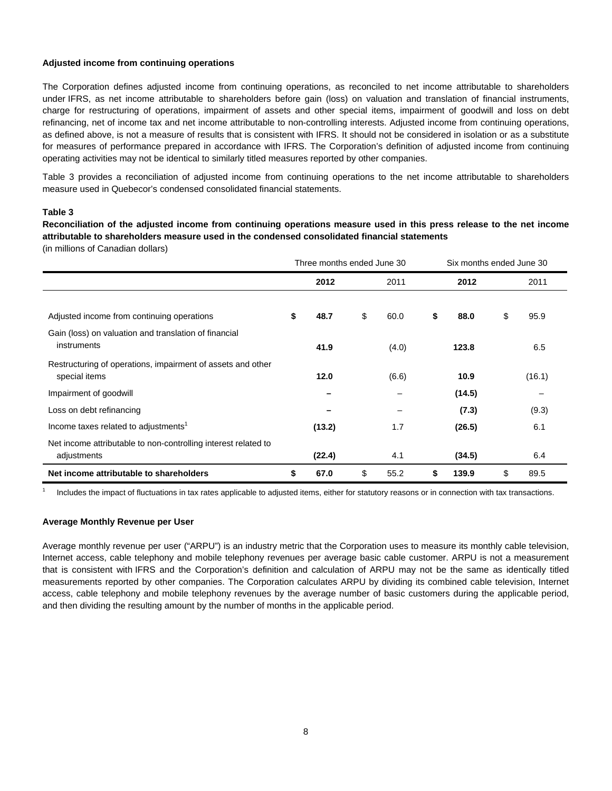#### **Adjusted income from continuing operations**

The Corporation defines adjusted income from continuing operations, as reconciled to net income attributable to shareholders under IFRS, as net income attributable to shareholders before gain (loss) on valuation and translation of financial instruments, charge for restructuring of operations, impairment of assets and other special items, impairment of goodwill and loss on debt refinancing, net of income tax and net income attributable to non-controlling interests. Adjusted income from continuing operations, as defined above, is not a measure of results that is consistent with IFRS. It should not be considered in isolation or as a substitute for measures of performance prepared in accordance with IFRS. The Corporation's definition of adjusted income from continuing operating activities may not be identical to similarly titled measures reported by other companies.

Table 3 provides a reconciliation of adjusted income from continuing operations to the net income attributable to shareholders measure used in Quebecor's condensed consolidated financial statements.

#### **Table 3**

**Reconciliation of the adjusted income from continuing operations measure used in this press release to the net income attributable to shareholders measure used in the condensed consolidated financial statements**  (in millions of Canadian dollars)

|                                                                               | Three months ended June 30 |        |    |       |    | Six months ended June 30 |    |        |  |  |  |
|-------------------------------------------------------------------------------|----------------------------|--------|----|-------|----|--------------------------|----|--------|--|--|--|
|                                                                               |                            | 2012   |    | 2011  |    | 2012                     |    | 2011   |  |  |  |
| Adjusted income from continuing operations                                    | \$                         | 48.7   | \$ | 60.0  | \$ | 88.0                     | \$ | 95.9   |  |  |  |
| Gain (loss) on valuation and translation of financial<br>instruments          |                            | 41.9   |    | (4.0) |    | 123.8                    |    | 6.5    |  |  |  |
| Restructuring of operations, impairment of assets and other<br>special items  |                            | 12.0   |    | (6.6) |    | 10.9                     |    | (16.1) |  |  |  |
| Impairment of goodwill                                                        |                            |        |    |       |    | (14.5)                   |    |        |  |  |  |
| Loss on debt refinancing                                                      |                            |        |    |       |    | (7.3)                    |    | (9.3)  |  |  |  |
| Income taxes related to adjustments <sup>1</sup>                              |                            | (13.2) |    | 1.7   |    | (26.5)                   |    | 6.1    |  |  |  |
| Net income attributable to non-controlling interest related to<br>adjustments |                            | (22.4) |    | 4.1   |    | (34.5)                   |    | 6.4    |  |  |  |
| Net income attributable to shareholders                                       | \$                         | 67.0   | \$ | 55.2  | \$ | 139.9                    | \$ | 89.5   |  |  |  |

1 Includes the impact of fluctuations in tax rates applicable to adjusted items, either for statutory reasons or in connection with tax transactions.

#### **Average Monthly Revenue per User**

Average monthly revenue per user ("ARPU") is an industry metric that the Corporation uses to measure its monthly cable television, Internet access, cable telephony and mobile telephony revenues per average basic cable customer. ARPU is not a measurement that is consistent with IFRS and the Corporation's definition and calculation of ARPU may not be the same as identically titled measurements reported by other companies. The Corporation calculates ARPU by dividing its combined cable television, Internet access, cable telephony and mobile telephony revenues by the average number of basic customers during the applicable period, and then dividing the resulting amount by the number of months in the applicable period.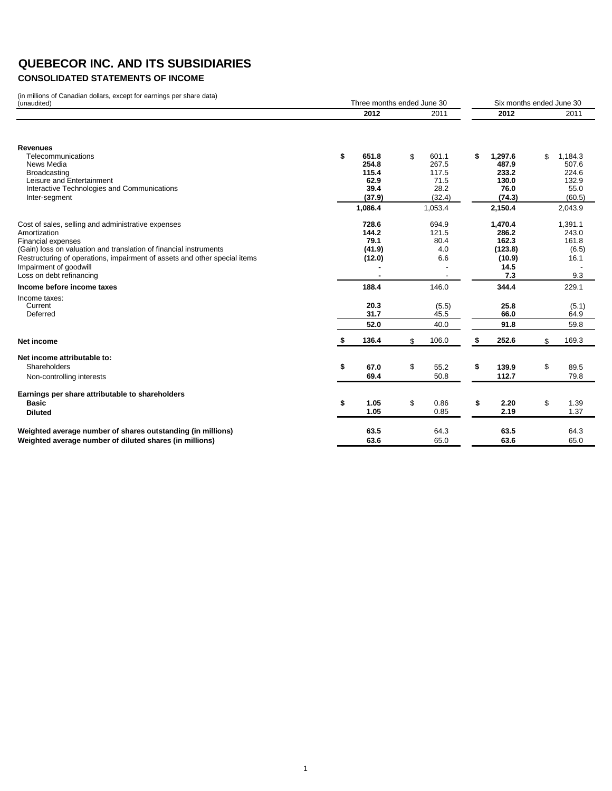## **CONSOLIDATED STATEMENTS OF INCOME**

(in millions of Canadian dollars, except for earnings per share data) (unaudited)

| .<br><b>Canadian dollars, choopt for carringo por critare data</b><br>(unaudited) | Three months ended June 30 |              |    |               |    | Six months ended June 30 |    |               |  |  |
|-----------------------------------------------------------------------------------|----------------------------|--------------|----|---------------|----|--------------------------|----|---------------|--|--|
|                                                                                   |                            | 2012         |    | 2011          |    | 2012                     |    | 2011          |  |  |
| <b>Revenues</b>                                                                   |                            |              |    |               |    |                          |    |               |  |  |
| Telecommunications                                                                | \$                         | 651.8        | \$ | 601.1         | \$ | 1,297.6                  | \$ | 1,184.3       |  |  |
| News Media                                                                        |                            | 254.8        |    | 267.5         |    | 487.9                    |    | 507.6         |  |  |
| Broadcasting                                                                      |                            | 115.4        |    | 117.5         |    | 233.2                    |    | 224.6         |  |  |
| Leisure and Entertainment                                                         |                            | 62.9         |    | 71.5          |    | 130.0                    |    | 132.9         |  |  |
| Interactive Technologies and Communications                                       |                            | 39.4         |    | 28.2          |    | 76.0                     |    | 55.0          |  |  |
| Inter-segment                                                                     |                            | (37.9)       |    | (32.4)        |    | (74.3)                   |    | (60.5)        |  |  |
|                                                                                   |                            | 1,086.4      |    | 1,053.4       |    | 2,150.4                  |    | 2,043.9       |  |  |
| Cost of sales, selling and administrative expenses                                |                            | 728.6        |    | 694.9         |    | 1,470.4                  |    | 1,391.1       |  |  |
| Amortization                                                                      |                            | 144.2        |    | 121.5         |    | 286.2                    |    | 243.0         |  |  |
| <b>Financial expenses</b>                                                         |                            | 79.1         |    | 80.4          |    | 162.3                    |    | 161.8         |  |  |
| (Gain) loss on valuation and translation of financial instruments                 |                            | (41.9)       |    | 4.0           |    | (123.8)                  |    | (6.5)         |  |  |
| Restructuring of operations, impairment of assets and other special items         |                            | (12.0)       |    | 6.6           |    | (10.9)                   |    | 16.1          |  |  |
| Impairment of goodwill                                                            |                            |              |    |               |    | 14.5                     |    |               |  |  |
| Loss on debt refinancing                                                          |                            |              |    |               |    | 7.3                      |    | 9.3           |  |  |
| Income before income taxes                                                        |                            | 188.4        |    | 146.0         |    | 344.4                    |    | 229.1         |  |  |
| Income taxes:                                                                     |                            |              |    |               |    |                          |    |               |  |  |
| Current<br>Deferred                                                               |                            | 20.3<br>31.7 |    | (5.5)<br>45.5 |    | 25.8<br>66.0             |    | (5.1)<br>64.9 |  |  |
|                                                                                   |                            | 52.0         |    | 40.0          |    | 91.8                     |    | 59.8          |  |  |
|                                                                                   |                            |              |    |               |    |                          |    |               |  |  |
| Net income                                                                        |                            | 136.4        | \$ | 106.0         | \$ | 252.6                    | \$ | 169.3         |  |  |
| Net income attributable to:                                                       |                            |              |    |               |    |                          |    |               |  |  |
| Shareholders                                                                      | \$                         | 67.0         | \$ | 55.2          | \$ | 139.9                    | \$ | 89.5          |  |  |
| Non-controlling interests                                                         |                            | 69.4         |    | 50.8          |    | 112.7                    |    | 79.8          |  |  |
| Earnings per share attributable to shareholders                                   |                            |              |    |               |    |                          |    |               |  |  |
| Basic                                                                             | \$                         | 1.05         | \$ | 0.86          | \$ | 2.20                     | \$ | 1.39          |  |  |
| <b>Diluted</b>                                                                    |                            | 1.05         |    | 0.85          |    | 2.19                     |    | 1.37          |  |  |
| Weighted average number of shares outstanding (in millions)                       |                            | 63.5         |    | 64.3          |    | 63.5                     |    | 64.3          |  |  |
| Weighted average number of diluted shares (in millions)                           |                            | 63.6         |    | 65.0          |    | 63.6                     |    | 65.0          |  |  |
|                                                                                   |                            |              |    |               |    |                          |    |               |  |  |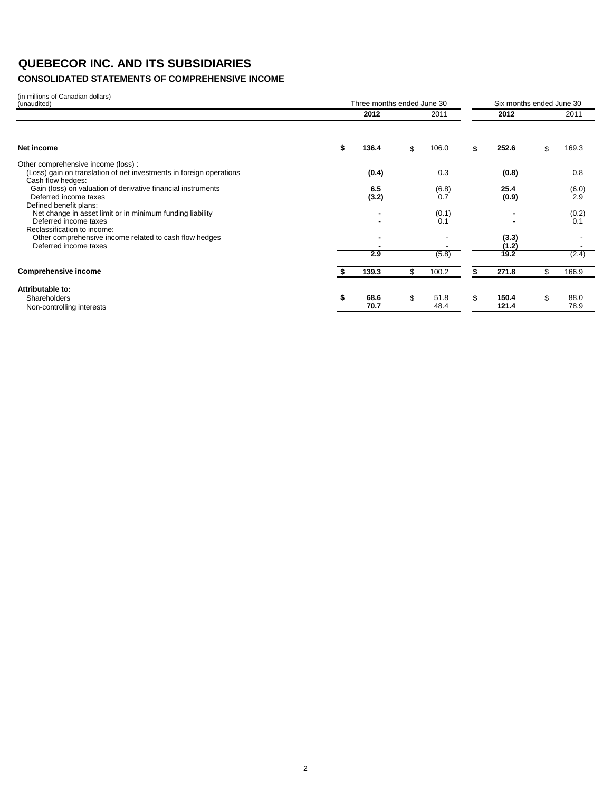## **CONSOLIDATED STATEMENTS OF COMPREHENSIVE INCOME**

| (in millions of Canadian dollars)<br>(unaudited)                                                                               |    | Three months ended June 30 | Six months ended June 30 |    |                        |    |              |  |
|--------------------------------------------------------------------------------------------------------------------------------|----|----------------------------|--------------------------|----|------------------------|----|--------------|--|
|                                                                                                                                |    | 2012                       | 2011                     |    | 2012                   |    | 2011         |  |
| Net income                                                                                                                     | S  | 136.4                      | \$<br>106.0              |    | 252.6                  | \$ | 169.3        |  |
| Other comprehensive income (loss):<br>(Loss) gain on translation of net investments in foreign operations<br>Cash flow hedges: |    | (0.4)                      | 0.3                      |    | (0.8)                  |    | 0.8          |  |
| Gain (loss) on valuation of derivative financial instruments<br>Deferred income taxes<br>Defined benefit plans:                |    | 6.5<br>(3.2)               | (6.8)<br>0.7             |    | 25.4<br>(0.9)          |    | (6.0)<br>2.9 |  |
| Net change in asset limit or in minimum funding liability<br>Deferred income taxes<br>Reclassification to income:              |    |                            | (0.1)<br>0.1             |    |                        |    | (0.2)<br>0.1 |  |
| Other comprehensive income related to cash flow hedges<br>Deferred income taxes                                                |    | 2.9                        | (5.8)                    |    | (3.3)<br>(1.2)<br>19.2 |    | (2.4)        |  |
| <b>Comprehensive income</b>                                                                                                    |    | 139.3                      | \$<br>100.2              |    | 271.8                  | \$ | 166.9        |  |
| Attributable to:<br>Shareholders<br>Non-controlling interests                                                                  | \$ | 68.6<br>70.7               | \$<br>51.8<br>48.4       | \$ | 150.4<br>121.4         | \$ | 88.0<br>78.9 |  |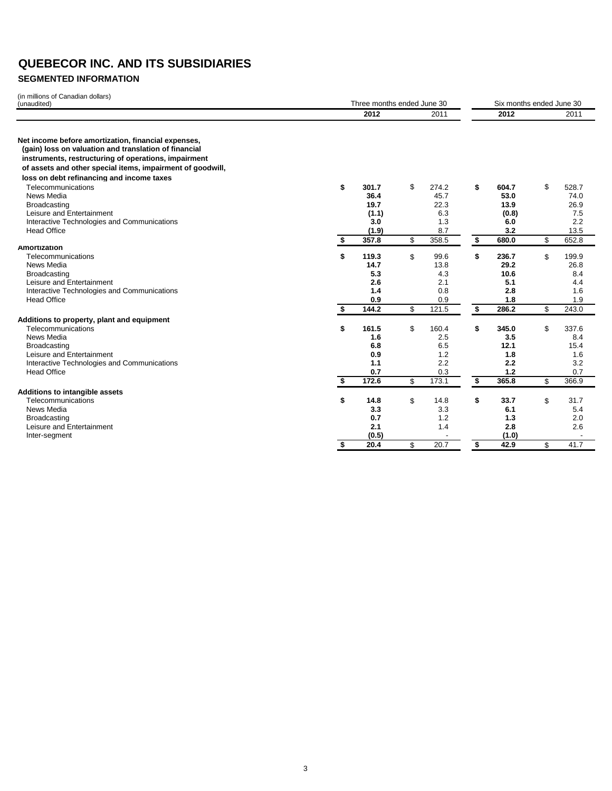### **SEGMENTED INFORMATION**

| (in millions of Canadian dollars)                                                                                                                                    |    | Six months ended June 30   |              |    |              |    |               |
|----------------------------------------------------------------------------------------------------------------------------------------------------------------------|----|----------------------------|--------------|----|--------------|----|---------------|
| (unaudited)                                                                                                                                                          |    | Three months ended June 30 |              |    |              |    |               |
|                                                                                                                                                                      |    | 2012                       | 2011         |    | 2012         |    | 2011          |
| Net income before amortization, financial expenses,<br>(gain) loss on valuation and translation of financial<br>instruments, restructuring of operations, impairment |    |                            |              |    |              |    |               |
| of assets and other special items, impairment of goodwill,                                                                                                           |    |                            |              |    |              |    |               |
| loss on debt refinancing and income taxes                                                                                                                            |    |                            |              |    |              |    |               |
| Telecommunications                                                                                                                                                   | \$ | 301.7                      | \$<br>274.2  | \$ | 604.7        | \$ | 528.7         |
| News Media                                                                                                                                                           |    | 36.4                       | 45.7         |    | 53.0         |    | 74.0          |
| Broadcasting                                                                                                                                                         |    | 19.7                       | 22.3         |    | 13.9         |    | 26.9          |
| Leisure and Entertainment                                                                                                                                            |    | (1.1)                      | 6.3          |    | (0.8)        |    | 7.5           |
| Interactive Technologies and Communications                                                                                                                          |    | 3.0                        | 1.3          |    | 6.0          |    | 2.2           |
| <b>Head Office</b>                                                                                                                                                   |    | (1.9)<br>357.8             | 8.7<br>358.5 | \$ | 3.2<br>680.0 |    | 13.5<br>652.8 |
| Amortization                                                                                                                                                         | \$ |                            | \$           |    |              | \$ |               |
| Telecommunications                                                                                                                                                   | \$ | 119.3                      | \$<br>99.6   | \$ | 236.7        | \$ | 199.9         |
| News Media                                                                                                                                                           |    | 14.7                       | 13.8         |    | 29.2         |    | 26.8          |
| Broadcasting                                                                                                                                                         |    | 5.3                        | 4.3          |    | 10.6         |    | 8.4           |
| Leisure and Entertainment                                                                                                                                            |    | 2.6                        | 2.1          |    | 5.1          |    | 4.4           |
| Interactive Technologies and Communications                                                                                                                          |    | 1.4                        | 0.8          |    | 2.8          |    | 1.6           |
| <b>Head Office</b>                                                                                                                                                   |    | 0.9                        | 0.9          |    | 1.8          |    | 1.9           |
|                                                                                                                                                                      | \$ | 144.2                      | \$<br>121.5  | \$ | 286.2        | \$ | 243.0         |
| Additions to property, plant and equipment                                                                                                                           |    |                            |              |    |              |    |               |
| Telecommunications                                                                                                                                                   | \$ | 161.5                      | \$<br>160.4  | \$ | 345.0        | \$ | 337.6         |
| News Media                                                                                                                                                           |    | 1.6                        | 2.5          |    | 3.5          |    | 8.4           |
| <b>Broadcasting</b>                                                                                                                                                  |    | 6.8                        | 6.5          |    | 12.1         |    | 15.4          |
| Leisure and Entertainment                                                                                                                                            |    | 0.9                        | 1.2          |    | 1.8          |    | 1.6           |
| Interactive Technologies and Communications                                                                                                                          |    | 1.1                        | 2.2          |    | 2.2          |    | 3.2           |
| <b>Head Office</b>                                                                                                                                                   |    | 0.7                        | 0.3          |    | 1.2          |    | 0.7           |
|                                                                                                                                                                      | \$ | 172.6                      | \$<br>173.1  | \$ | 365.8        | \$ | 366.9         |
| <b>Additions to intangible assets</b>                                                                                                                                |    |                            |              |    |              |    |               |
| Telecommunications                                                                                                                                                   | \$ | 14.8                       | \$<br>14.8   | \$ | 33.7         | \$ | 31.7          |
| News Media                                                                                                                                                           |    | 3.3                        | 3.3          |    | 6.1          |    | 5.4           |
| <b>Broadcasting</b>                                                                                                                                                  |    | 0.7                        | 1.2          |    | 1.3          |    | 2.0           |
| Leisure and Entertainment                                                                                                                                            |    | 2.1                        | 1.4          |    | 2.8          |    | 2.6           |
| Inter-segment                                                                                                                                                        |    | (0.5)                      |              |    | (1.0)        |    |               |
|                                                                                                                                                                      | \$ | 20.4                       | \$<br>20.7   | \$ | 42.9         | \$ | 41.7          |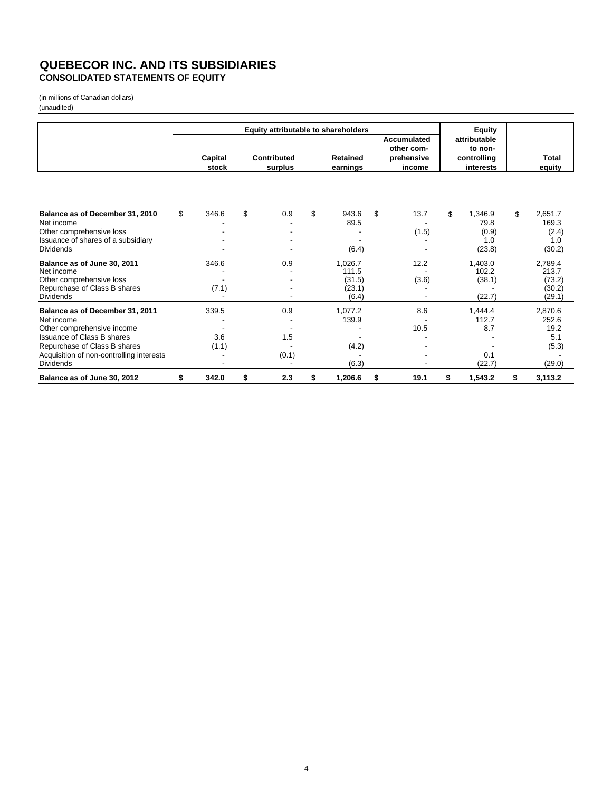#### **QUEBECOR INC. AND ITS SUBSIDIARIES CONSOLIDATED STATEMENTS OF EQUITY**

(in millions of Canadian dollars)

|                                          | Equity attributable to shareholders |         |    |                    |    |                 |                                  |            | <b>Equity</b> |             |               |  |                         |  |
|------------------------------------------|-------------------------------------|---------|----|--------------------|----|-----------------|----------------------------------|------------|---------------|-------------|---------------|--|-------------------------|--|
|                                          |                                     |         |    |                    |    |                 | <b>Accumulated</b><br>other com- |            |               |             |               |  | attributable<br>to non- |  |
|                                          |                                     | Capital |    | <b>Contributed</b> |    | <b>Retained</b> |                                  | prehensive |               | controlling | Total         |  |                         |  |
|                                          |                                     | stock   |    | surplus            |    | earnings        |                                  | income     |               | interests   | equity        |  |                         |  |
|                                          |                                     |         |    |                    |    |                 |                                  |            |               |             |               |  |                         |  |
| Balance as of December 31, 2010          | \$                                  | 346.6   | \$ | 0.9                | \$ | 943.6           | \$                               | 13.7       | \$            | 1,346.9     | \$<br>2,651.7 |  |                         |  |
| Net income                               |                                     |         |    |                    |    | 89.5            |                                  |            |               | 79.8        | 169.3         |  |                         |  |
| Other comprehensive loss                 |                                     |         |    |                    |    |                 |                                  | (1.5)      |               | (0.9)       | (2.4)         |  |                         |  |
| Issuance of shares of a subsidiary       |                                     |         |    |                    |    |                 |                                  |            |               | 1.0         | 1.0           |  |                         |  |
| <b>Dividends</b>                         |                                     |         |    |                    |    | (6.4)           |                                  |            |               | (23.8)      | (30.2)        |  |                         |  |
| Balance as of June 30, 2011              |                                     | 346.6   |    | 0.9                |    | 1,026.7         |                                  | 12.2       |               | 1,403.0     | 2,789.4       |  |                         |  |
| Net income                               |                                     |         |    |                    |    | 111.5           |                                  |            |               | 102.2       | 213.7         |  |                         |  |
| Other comprehensive loss                 |                                     |         |    |                    |    | (31.5)          |                                  | (3.6)      |               | (38.1)      | (73.2)        |  |                         |  |
| Repurchase of Class B shares             |                                     | (7.1)   |    |                    |    | (23.1)          |                                  |            |               |             | (30.2)        |  |                         |  |
| <b>Dividends</b>                         |                                     |         |    |                    |    | (6.4)           |                                  |            |               | (22.7)      | (29.1)        |  |                         |  |
| Balance as of December 31, 2011          |                                     | 339.5   |    | 0.9                |    | 1,077.2         |                                  | 8.6        |               | 1,444.4     | 2,870.6       |  |                         |  |
| Net income                               |                                     |         |    |                    |    | 139.9           |                                  |            |               | 112.7       | 252.6         |  |                         |  |
| Other comprehensive income               |                                     |         |    |                    |    |                 |                                  | 10.5       |               | 8.7         | 19.2          |  |                         |  |
| <b>Issuance of Class B shares</b>        |                                     | 3.6     |    | 1.5                |    |                 |                                  |            |               |             | 5.1           |  |                         |  |
| Repurchase of Class B shares             |                                     | (1.1)   |    |                    |    | (4.2)           |                                  |            |               |             | (5.3)         |  |                         |  |
| Acquisition of non-controlling interests |                                     |         |    | (0.1)              |    |                 |                                  |            |               | 0.1         |               |  |                         |  |
| <b>Dividends</b>                         |                                     |         |    |                    |    | (6.3)           |                                  |            |               | (22.7)      | (29.0)        |  |                         |  |
| Balance as of June 30, 2012              | \$                                  | 342.0   | \$ | 2.3                | \$ | 1,206.6         | \$                               | 19.1       | \$            | 1,543.2     | \$<br>3,113.2 |  |                         |  |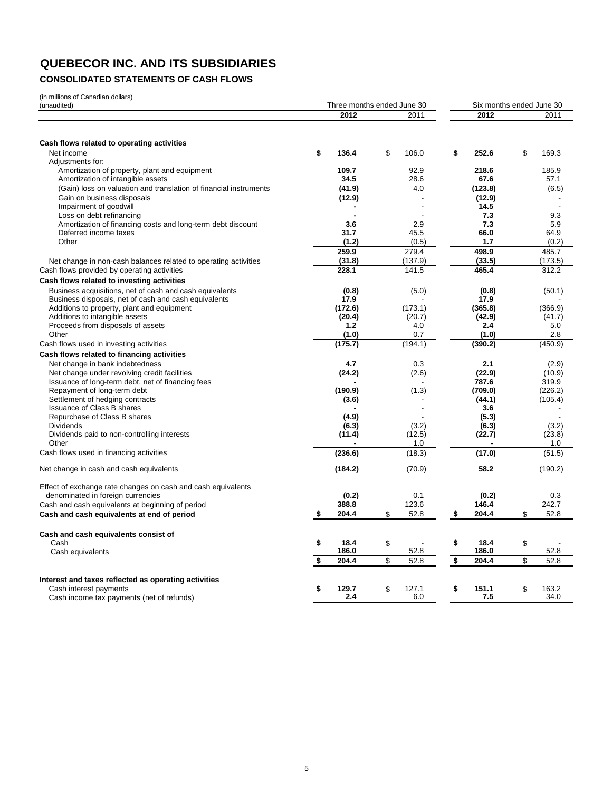## **CONSOLIDATED STATEMENTS OF CASH FLOWS**

(in millions of Canadian dollars) (unaudited)

| (111 11111110115 UI Gariaulari uullars)<br>(unaudited)            | Three months ended June 30 |             | Six months ended June 30 |                |    |         |  |  |
|-------------------------------------------------------------------|----------------------------|-------------|--------------------------|----------------|----|---------|--|--|
|                                                                   | 2012                       | 2011        |                          | 2012           |    | 2011    |  |  |
|                                                                   |                            |             |                          |                |    |         |  |  |
| Cash flows related to operating activities                        |                            |             |                          |                |    |         |  |  |
| Net income                                                        | \$<br>136.4                | \$<br>106.0 | \$                       | 252.6          | \$ | 169.3   |  |  |
| Adjustments for:                                                  |                            |             |                          |                |    |         |  |  |
| Amortization of property, plant and equipment                     | 109.7                      | 92.9        |                          | 218.6          |    | 185.9   |  |  |
| Amortization of intangible assets                                 | 34.5                       | 28.6        |                          | 67.6           |    | 57.1    |  |  |
| (Gain) loss on valuation and translation of financial instruments | (41.9)                     | 4.0         |                          | (123.8)        |    | (6.5)   |  |  |
| Gain on business disposals<br>Impairment of goodwill              | (12.9)                     | Ĭ.          |                          | (12.9)<br>14.5 |    |         |  |  |
| Loss on debt refinancing                                          |                            |             |                          | 7.3            |    | 9.3     |  |  |
| Amortization of financing costs and long-term debt discount       | 3.6                        | 2.9         |                          | 7.3            |    | 5.9     |  |  |
| Deferred income taxes                                             | 31.7                       | 45.5        |                          | 66.0           |    | 64.9    |  |  |
| Other                                                             | (1.2)                      | (0.5)       |                          | 1.7            |    | (0.2)   |  |  |
|                                                                   | 259.9                      | 279.4       |                          | 498.9          |    | 485.7   |  |  |
| Net change in non-cash balances related to operating activities   | (31.8)                     | (137.9)     |                          | (33.5)         |    | (173.5) |  |  |
| Cash flows provided by operating activities                       | 228.1                      | 141.5       |                          | 465.4          |    | 312.2   |  |  |
| Cash flows related to investing activities                        |                            |             |                          |                |    |         |  |  |
| Business acquisitions, net of cash and cash equivalents           | (0.8)                      | (5.0)       |                          | (0.8)          |    | (50.1)  |  |  |
| Business disposals, net of cash and cash equivalents              | 17.9                       |             |                          | 17.9           |    |         |  |  |
| Additions to property, plant and equipment                        | (172.6)                    | (173.1)     |                          | (365.8)        |    | (366.9) |  |  |
| Additions to intangible assets                                    | (20.4)                     | (20.7)      |                          | (42.9)         |    | (41.7)  |  |  |
| Proceeds from disposals of assets                                 | $1.2$                      | 4.0         |                          | 2.4            |    | 5.0     |  |  |
| Other                                                             | (1.0)                      | 0.7         |                          | (1.0)          |    | 2.8     |  |  |
| Cash flows used in investing activities                           | (175.7)                    | (194.1)     |                          | (390.2)        |    | (450.9) |  |  |
| Cash flows related to financing activities                        |                            |             |                          |                |    |         |  |  |
| Net change in bank indebtedness                                   | 4.7                        | 0.3         |                          | 2.1            |    | (2.9)   |  |  |
| Net change under revolving credit facilities                      | (24.2)                     | (2.6)       |                          | (22.9)         |    | (10.9)  |  |  |
| Issuance of long-term debt, net of financing fees                 |                            |             |                          | 787.6          |    | 319.9   |  |  |
| Repayment of long-term debt                                       | (190.9)                    | (1.3)       |                          | (709.0)        |    | (226.2) |  |  |
| Settlement of hedging contracts                                   | (3.6)                      |             |                          | (44.1)         |    | (105.4) |  |  |
| <b>Issuance of Class B shares</b>                                 |                            |             |                          | 3.6            |    |         |  |  |
| Repurchase of Class B shares                                      | (4.9)                      |             |                          | (5.3)          |    |         |  |  |
| <b>Dividends</b>                                                  | (6.3)                      | (3.2)       |                          | (6.3)          |    | (3.2)   |  |  |
| Dividends paid to non-controlling interests                       | (11.4)                     | (12.5)      |                          | (22.7)         |    | (23.8)  |  |  |
| Other                                                             |                            | 1.0         |                          |                |    | 1.0     |  |  |
| Cash flows used in financing activities                           | (236.6)                    | (18.3)      |                          | (17.0)         |    | (51.5)  |  |  |
| Net change in cash and cash equivalents                           | (184.2)                    | (70.9)      |                          | 58.2           |    | (190.2) |  |  |
| Effect of exchange rate changes on cash and cash equivalents      |                            |             |                          |                |    |         |  |  |
| denominated in foreign currencies                                 | (0.2)                      | 0.1         |                          | (0.2)          |    | 0.3     |  |  |
| Cash and cash equivalents at beginning of period                  | 388.8                      | 123.6       |                          | 146.4          |    | 242.7   |  |  |
| Cash and cash equivalents at end of period                        | \$<br>204.4                | \$<br>52.8  | \$                       | 204.4          | \$ | 52.8    |  |  |
| Cash and cash equivalents consist of                              |                            |             |                          |                |    |         |  |  |
| Cash                                                              | \$<br>18.4                 | \$          | \$                       | 18.4           | \$ |         |  |  |
| Cash equivalents                                                  | 186.0                      | 52.8        |                          | 186.0          |    | 52.8    |  |  |
|                                                                   | \$<br>204.4                | \$<br>52.8  | $\overline{\mathbf{s}}$  | 204.4          | \$ | 52.8    |  |  |
| Interest and taxes reflected as operating activities              |                            |             |                          |                |    |         |  |  |
| Cash interest payments                                            | \$<br>129.7                | \$<br>127.1 | \$                       | 151.1          | \$ | 163.2   |  |  |
| Cash income tax payments (net of refunds)                         | 2.4                        | 6.0         |                          | 7.5            |    | 34.0    |  |  |
|                                                                   |                            |             |                          |                |    |         |  |  |